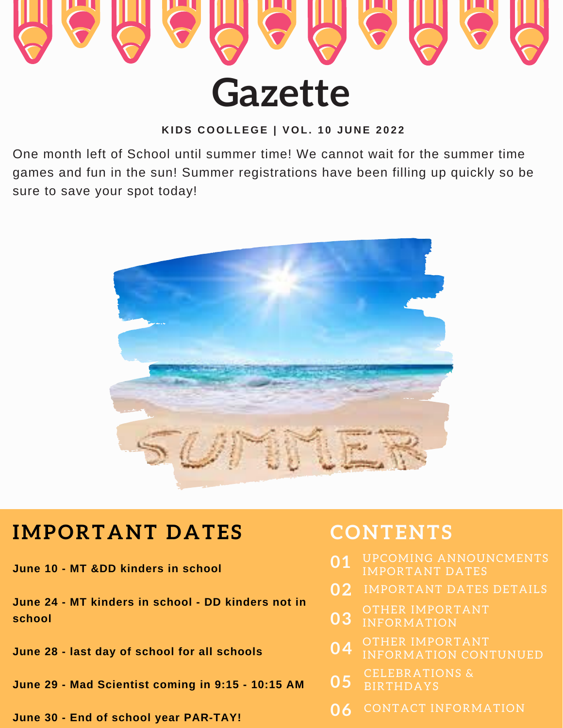

KIDS COOLLEGE | VOL. 10 JUNE 2022

One month left of School until summer time! We cannot wait for the summer time games and fun in the sun! Summer registrations have been filling up quickly so be sure to save your spot today!



## **IMPORTANT DATES**

**June 10 - MT &DD kinders in school**

**June 24 - MT kinders in school - DD kinders not in school**

**June 28 - last day of school for all schools**

**June 29 - Mad Scientist coming in 9:15 - 10:15 AM**

**June 30 - End of school year PAR-TAY!**

## **CONTENTS**

- IMPORTANT DATES **01**
- IMPORTANT DATES DETAILS **02**
- OTHER IMPORTANT INFORMATION **03**
- **04** OTHER IMPORTANT INFORMATION CONTUNUED
- **05** CELEBRATIONS & **BIRTHDAYS**
- **06** CONTACT INFORMATION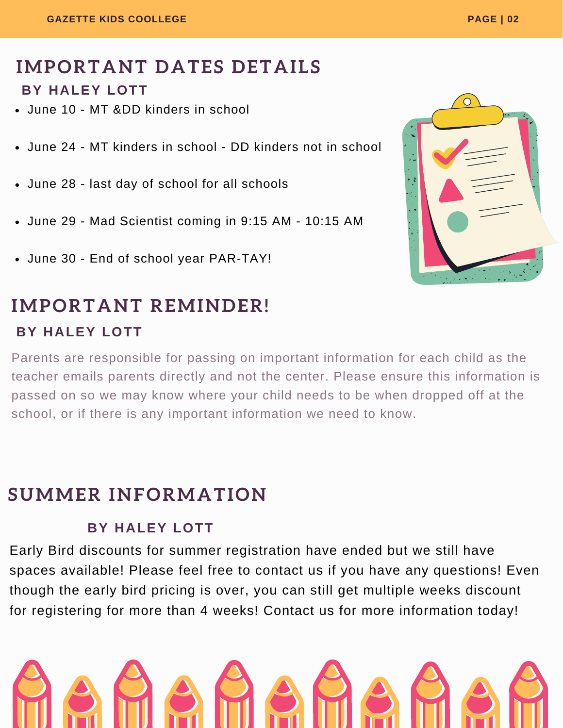### **IMPORTANT DATES DETAILS BY HALEY LOTT**

- June 10 MT &DD kinders in school
- June 24 MT kinders in school DD kinders not in school
- June 28 last day of school for all schools
- June 29 Mad Scientist coming in 9:15 AM 10:15 AM
- June 30 End of school year PAR-TAY!

# **IMPORTANT REMINDER!**

#### **BY HALEY LOTT**

Parents are responsible for passing on important information for each child as the teacher emails parents directly and not the center. Please ensure this information is passed on so we may know where your child needs to be when dropped off at the school, or if there is any important information we need to know.

### **SUMMER INFORMATION**

#### **BY HALEY LOTT**

Early Bird discounts for summer registration have ended but we still have spaces available! Please feel free to contact us if you have any questions! Even though the early bird pricing is over, you can still get multiple weeks discount for registering for more than 4 weeks! Contact us for more information today!



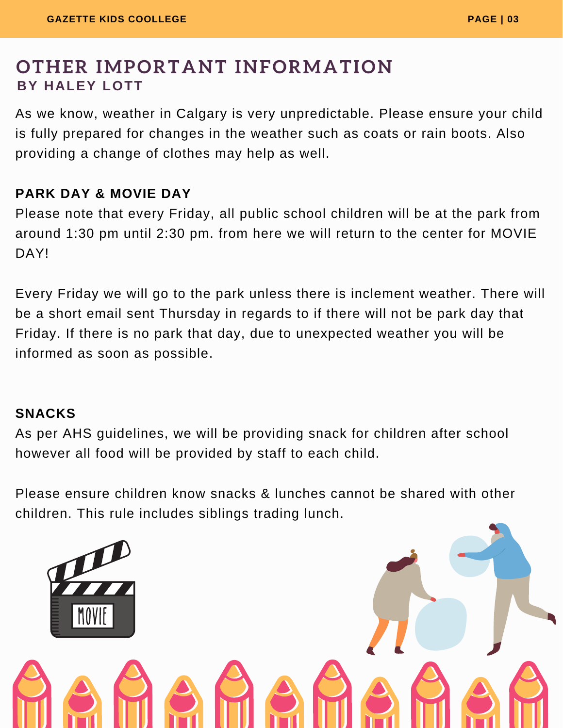### **OTHER IMPORTANT INFORMATION BY HALEY LOTT**

As we know, weather in Calgary is very unpredictable. Please ensure your child is fully prepared for changes in the weather such as coats or rain boots. Also providing a change of clothes may help as well.

#### **PARK DAY & MOVIE DAY**

Please note that every Friday, all public school children will be at the park from around 1:30 pm until 2:30 pm. from here we will return to the center for MOVIE DAY!

Every Friday we will go to the park unless there is inclement weather. There will be a short email sent Thursday in regards to if there will not be park day that Friday. If there is no park that day, due to unexpected weather you will be informed as soon as possible.

#### **SNACKS**

As per AHS guidelines, we will be providing snack for children after school however all food will be provided by staff to each child.

Please ensure children know snacks & lunches cannot be shared with other children. This rule includes siblings trading lunch.

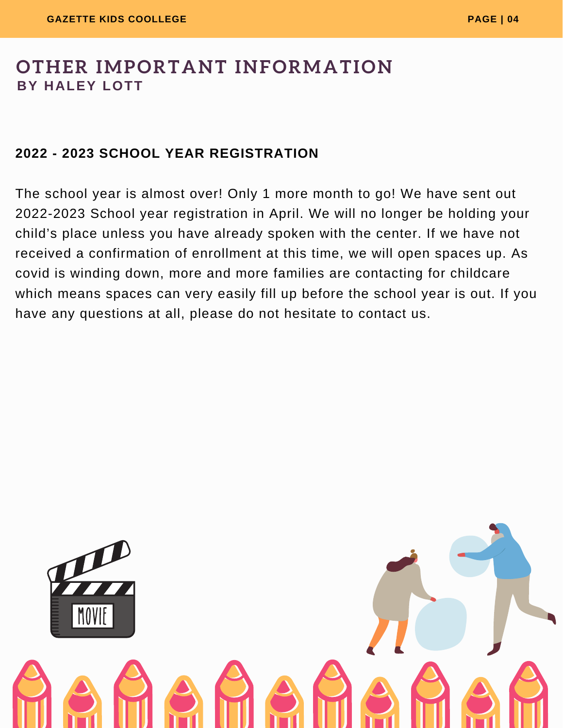### **OTHER IMPORTANT INFORMATION BY HALEY LOTT**

#### **2022 - 2023 SCHOOL YEAR REGISTRATION**

The school year is almost over! Only 1 more month to go! We have sent out 2022-2023 School year registration in April. We will no longer be holding your child's place unless you have already spoken with the center. If we have not received a confirmation of enrollment at this time, we will open spaces up. As covid is winding down, more and more families are contacting for childcare which means spaces can very easily fill up before the school year is out. If you have any questions at all, please do not hesitate to contact us.

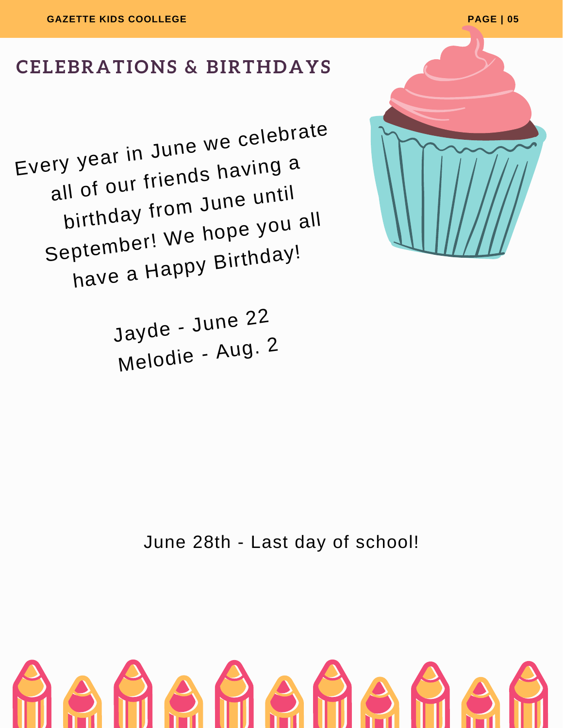

### **CELEBRATIONS & BIRTHDAYS**

Every <sup>y</sup>ear in Jun<sup>e</sup> we celebrate all of our friends having a birthday from Jun<sup>e</sup> until September! We hope you all have <sup>a</sup> Happy Birthday!

> Jayde - Jun<sup>e</sup> <sup>22</sup> Melodie - Aug. <sup>2</sup>

> > June 28th - Last day of school!